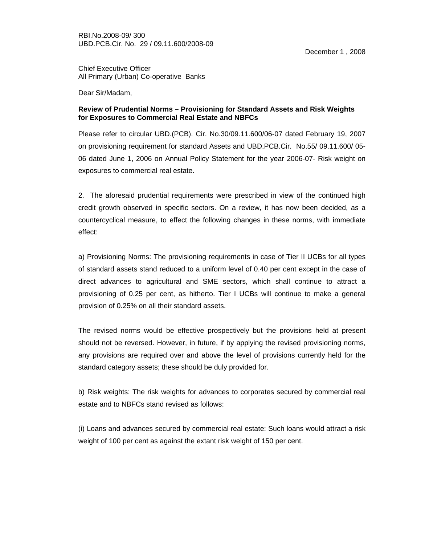December 1 , 2008

Chief Executive Officer All Primary (Urban) Co-operative Banks

Dear Sir/Madam,

## **Review of Prudential Norms – Provisioning for Standard Assets and Risk Weights for Exposures to Commercial Real Estate and NBFCs**

Please refer to circular UBD.(PCB). Cir. No.30/09.11.600/06-07 dated February 19, 2007 on provisioning requirement for standard Assets and UBD.PCB.Cir. No.55/ 09.11.600/ 05- 06 dated June 1, 2006 on Annual Policy Statement for the year 2006-07- Risk weight on exposures to commercial real estate.

2. The aforesaid prudential requirements were prescribed in view of the continued high credit growth observed in specific sectors. On a review, it has now been decided, as a countercyclical measure, to effect the following changes in these norms, with immediate effect:

a) Provisioning Norms: The provisioning requirements in case of Tier II UCBs for all types of standard assets stand reduced to a uniform level of 0.40 per cent except in the case of direct advances to agricultural and SME sectors, which shall continue to attract a provisioning of 0.25 per cent, as hitherto. Tier I UCBs will continue to make a general provision of 0.25% on all their standard assets.

The revised norms would be effective prospectively but the provisions held at present should not be reversed. However, in future, if by applying the revised provisioning norms, any provisions are required over and above the level of provisions currently held for the standard category assets; these should be duly provided for.

b) Risk weights: The risk weights for advances to corporates secured by commercial real estate and to NBFCs stand revised as follows:

(i) Loans and advances secured by commercial real estate: Such loans would attract a risk weight of 100 per cent as against the extant risk weight of 150 per cent.